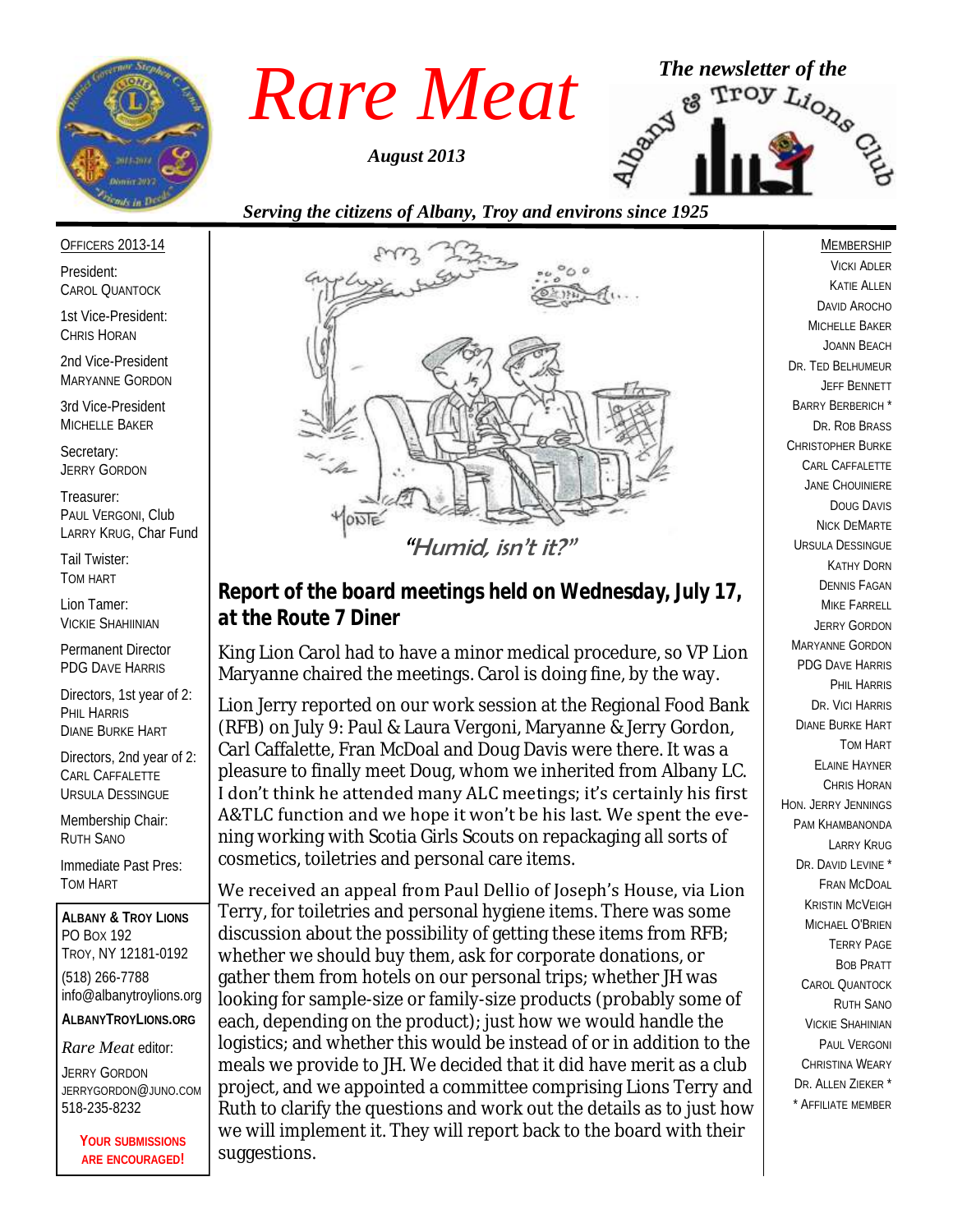

*August 2013*



#### OFFICERS 2013-14

President: CAROL QUANTOCK

1st Vice-President: CHRIS HORAN

2nd Vice-President MARYANNE GORDON

3rd Vice-President MICHELLE BAKER

Secretary: JERRY GORDON

Treasurer: PAUL VERGONI, Club LARRY KRUG, Char Fund

Tail Twister: TOM HART

Lion Tamer: VICKIE SHAHIINIAN

Permanent Director PDG DAVE HARRIS

Directors, 1st year of 2: PHIL HARRIS DIANE BURKE HART

Directors, 2nd year of 2: CARL CAFFALETTE URSULA DESSINGUE

Membership Chair: RUTH SANO

Immediate Past Pres: TOM HART

**ALBANY & TROY LIONS** PO BOX 192 TROY, NY 12181-0192 (518) 266-7788 info@albanytroylions.org **ALBANYTROYLIONS.ORG**

*Rare Meat* editor:

JERRY GORDON JERRYGORDON@JUNO.COM 518-235-8232

> **YOUR SUBMISSIONS ARE ENCOURAGED!**



*Report of the board meetings held on Wednesday, July 17, at the Route 7 Diner* 

King Lion Carol had to have a minor medical procedure, so VP Lion Maryanne chaired the meetings. Carol is doing fine, by the way.

Lion Jerry reported on our work session at the Regional Food Bank (RFB) on July 9: Paul & Laura Vergoni, Maryanne & Jerry Gordon, Carl Caffalette, Fran McDoal and Doug Davis were there. It was a pleasure to finally meet Doug, whom we inherited from Albany LC. I don't think he attended many ALC meetings; it's certainly his first A&TLC function and we hope it won't be his last. We spent the evening working with Scotia Girls Scouts on repackaging all sorts of cosmetics, toiletries and personal care items.

We received an appeal from Paul Dellio of Joseph's House, via Lion Terry, for toiletries and personal hygiene items. There was some discussion about the possibility of getting these items from RFB; whether we should buy them, ask for corporate donations, or gather them from hotels on our personal trips; whether JH was looking for sample-size or family-size products (probably some of each, depending on the product); just how we would handle the logistics; and whether this would be instead of or in addition to the meals we provide to JH. We decided that it did have merit as a club project, and we appointed a committee comprising Lions Terry and Ruth to clarify the questions and work out the details as to just how we will implement it. They will report back to the board with their suggestions.

VICKI ADLER KATIE ALLEN DAVID AROCHO MICHELLE BAKER JOANN BEACH DR. TED BELHUMEUR JEFF BENNETT BARRY BERBERICH \* DR. ROB BRASS CHRISTOPHER BURKE CARL CAFFALETTE JANE CHOUINIERE DOUG DAVIS NICK DEMARTE URSULA DESSINGUE KATHY DORN DENNIS FAGAN MIKE FARRELL JERRY GORDON MARYANNE GORDON PDG DAVE HARRIS PHIL HARRIS DR. VICI HARRIS DIANE BURKE HART TOM HART ELAINE HAYNER CHRIS HORAN HON. JERRY JENNINGS PAM KHAMBANONDA LARRY KRUG DR. DAVID I FVINE FRAN MCDOAL KRISTIN MCVEIGH MICHAEL O'BRIEN TERRY PAGE BOB PRATT CAROL QUANTOCK RUTH SANO VICKIE SHAHINIAN PAUL VERGONI CHRISTINA WEARY DR. ALLEN 7IFKER<sup>\*</sup> \* AFFILIATE MEMBER

MEMBERSHIP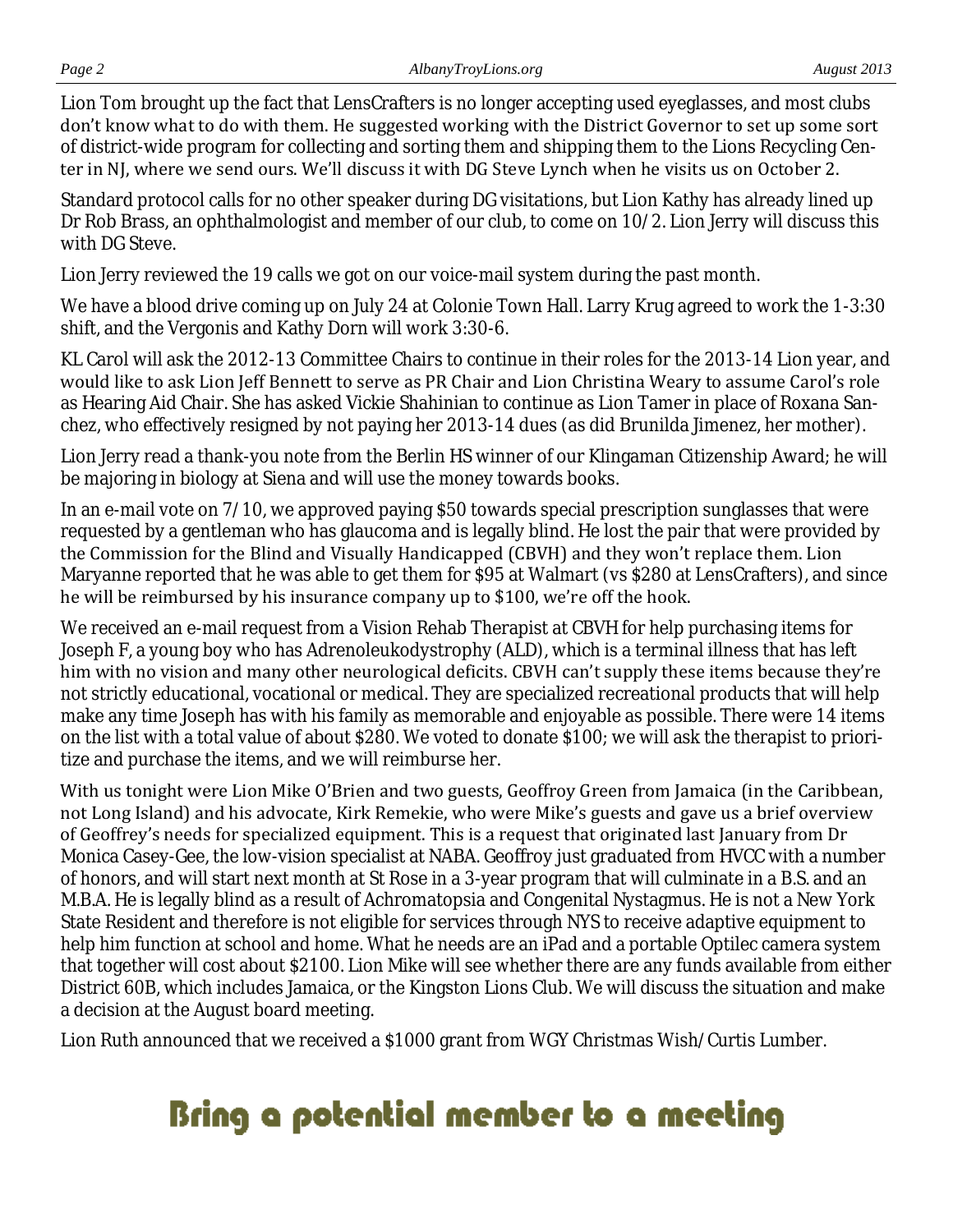Lion Tom brought up the fact that LensCrafters is no longer accepting used eyeglasses, and most clubs don't know what to do with them. He suggested working with the District Governor to set up some sort of district-wide program for collecting and sorting them and shipping them to the Lions Recycling Center in NJ, where we send ours. We'll discuss it with DG Steve Lynch when he visits us on October 2.

Standard protocol calls for no other speaker during DG visitations, but Lion Kathy has already lined up Dr Rob Brass, an ophthalmologist and member of our club, to come on 10/2. Lion Jerry will discuss this with DG Steve.

Lion Jerry reviewed the 19 calls we got on our voice-mail system during the past month.

We have a blood drive coming up on July 24 at Colonie Town Hall. Larry Krug agreed to work the 1-3:30 shift, and the Vergonis and Kathy Dorn will work 3:30-6.

KL Carol will ask the 2012-13 Committee Chairs to continue in their roles for the 2013-14 Lion year, and would like to ask Lion Jeff Bennett to serve as PR Chair and Lion Christina Weary to assume Carol's role as Hearing Aid Chair. She has asked Vickie Shahinian to continue as Lion Tamer in place of Roxana Sanchez, who effectively resigned by not paying her 2013-14 dues (as did Brunilda Jimenez, her mother).

Lion Jerry read a thank-you note from the Berlin HS winner of our Klingaman Citizenship Award; he will be majoring in biology at Siena and will use the money towards books.

In an e-mail vote on 7/10, we approved paying \$50 towards special prescription sunglasses that were requested by a gentleman who has glaucoma and is legally blind. He lost the pair that were provided by the Commission for the Blind and Visually Handicapped (CBVH) and they won't replace them. Lion Maryanne reported that he was able to get them for \$95 at Walmart (vs \$280 at LensCrafters), and since he will be reimbursed by his insurance company up to \$100, we're off the hook.

We received an e-mail request from a Vision Rehab Therapist at CBVH for help purchasing items for Joseph F, a young boy who has Adrenoleukodystrophy (ALD), which is a terminal illness that has left him with no vision and many other neurological deficits. CBVH can't supply these items because they're not strictly educational, vocational or medical. They are specialized recreational products that will help make any time Joseph has with his family as memorable and enjoyable as possible. There were 14 items on the list with a total value of about \$280. We voted to donate \$100; we will ask the therapist to prioritize and purchase the items, and we will reimburse her.

With us tonight were Lion Mike O'Brien and two guests, Geoffroy Green from Jamaica (in the Caribbean, not Long Island) and his advocate, Kirk Remekie, who were Mike's guests and gave us a brief overview of Geoffrey's needs for specialized equipment. This is a request that originated last January from Dr Monica Casey-Gee, the low-vision specialist at NABA. Geoffroy just graduated from HVCC with a number of honors, and will start next month at St Rose in a 3-year program that will culminate in a B.S. and an M.B.A. He is legally blind as a result of Achromatopsia and Congenital Nystagmus. He is not a New York State Resident and therefore is not eligible for services through NYS to receive adaptive equipment to help him function at school and home. What he needs are an iPad and a portable Optilec camera system that together will cost about \$2100. Lion Mike will see whether there are any funds available from either District 60B, which includes Jamaica, or the Kingston Lions Club. We will discuss the situation and make a decision at the August board meeting.

Lion Ruth announced that we received a \$1000 grant from WGY Christmas Wish/Curtis Lumber.

# Bring a potential member to a meeting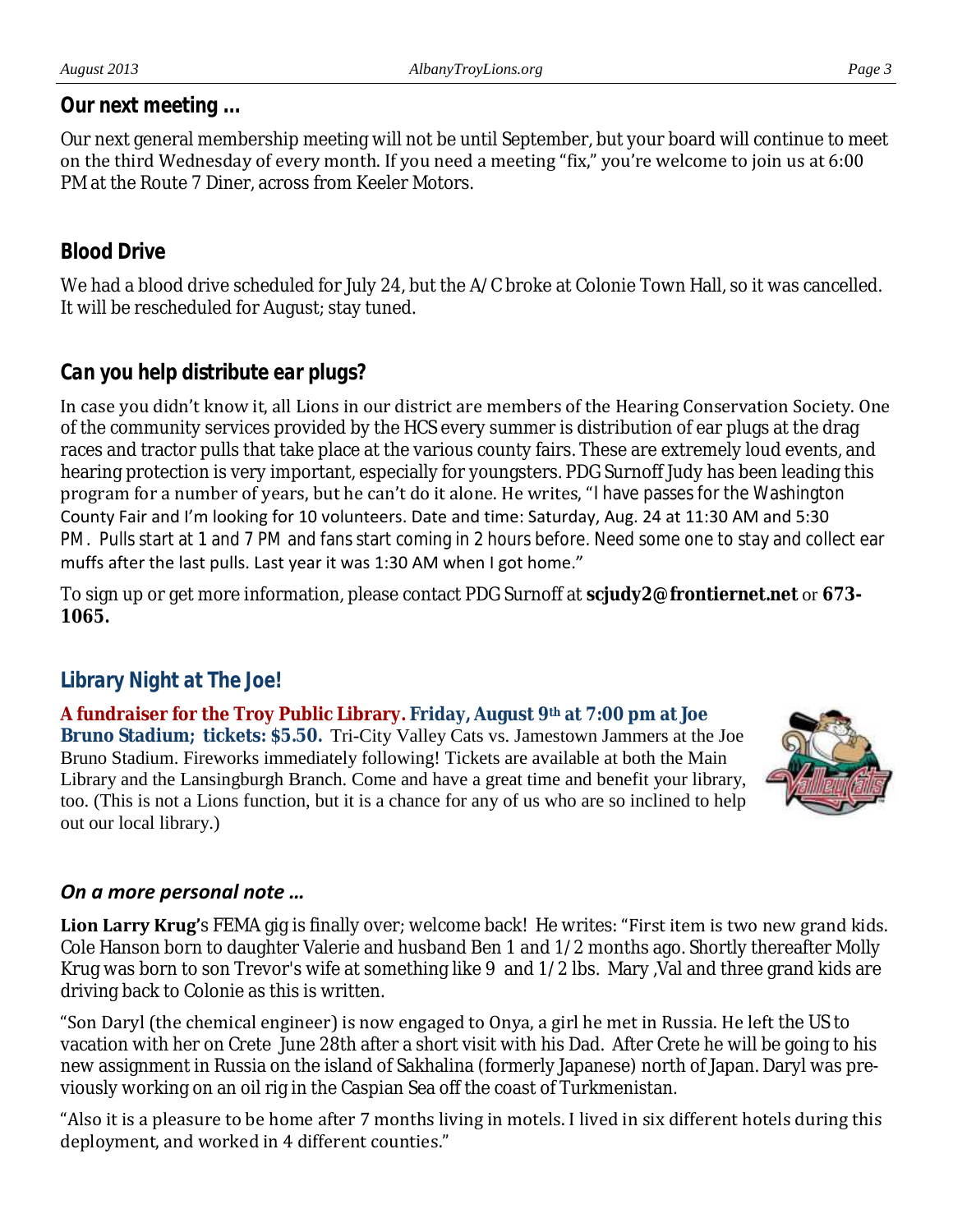#### *Our next meeting ...*

Our next general membership meeting will not be until September, but your board will continue to meet on the third Wednesday of every month. If you need a meeting "fix," you're welcome to join us at 6:00 PM at the Route 7 Diner, across from Keeler Motors.

## *Blood Drive*

We had a blood drive scheduled for July 24, but the A/C broke at Colonie Town Hall, so it was cancelled. It will be rescheduled for August; stay tuned.

## *Can you help distribute ear plugs?*

In case you didn't know it, all Lions in our district are members of the Hearing Conservation Society. One of the community services provided by the HCS every summer is distribution of ear plugs at the drag races and tractor pulls that take place at the various county fairs. These are extremely loud events, and hearing protection is very important, especially for youngsters. PDG Surnoff Judy has been leading this program for a number of years, but he can't do it alone. He writes, "I have passes for the Washington County Fair and I'm looking for 10 volunteers. Date and time: Saturday, Aug. 24 at 11:30 AM and 5:30 PM. Pulls start at 1 and 7 PM and fans start coming in 2 hours before. Need some one to stay and collect ear muffs after the last pulls. Last year it was 1:30 AM when I got home."

To sign up or get more information, please contact PDG Surnoff at **scjudy2@frontiernet.net** or **673- 1065.** 

## *Library Night at The Joe!*

**A fundraiser for the Troy Public Library. Friday, August 9th at 7:00 pm at Joe Bruno Stadium; tickets: \$5.50.** Tri-City Valley Cats vs. Jamestown Jammers at the Joe Bruno Stadium. Fireworks immediately following! Tickets are available at both the Main Library and the Lansingburgh Branch. Come and have a great time and benefit your library, too. (This is not a Lions function, but it is a chance for any of us who are so inclined to help out our local library.)



#### *On a more personal note …*

**Lion Larry Krug'**s FEMA gig is finally over; welcome back! He writes: "First item is two new grand kids. Cole Hanson born to daughter Valerie and husband Ben 1 and 1/2 months ago. Shortly thereafter Molly Krug was born to son Trevor's wife at something like 9 and 1/2 lbs. Mary ,Val and three grand kids are driving back to Colonie as this is written.

"Son Daryl (the chemical engineer) is now engaged to Onya, a girl he met in Russia. He left the US to vacation with her on Crete June 28th after a short visit with his Dad. After Crete he will be going to his new assignment in Russia on the island of Sakhalina (formerly Japanese) north of Japan. Daryl was previously working on an oil rig in the Caspian Sea off the coast of Turkmenistan.

"Also it is a pleasure to be home after 7 months living in motels. I lived in six different hotels during this deployment, and worked in 4 different counties."